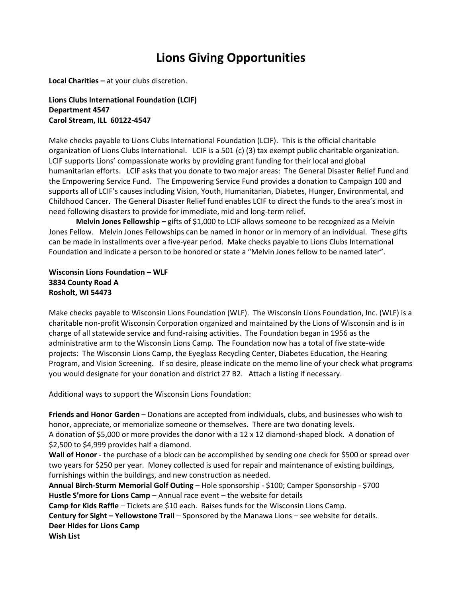# **Lions Giving Opportunities**

**Local Charities –** at your clubs discretion.

**Lions Clubs International Foundation (LCIF) Department 4547 Carol Stream, ILL 60122-4547**

Make checks payable to Lions Clubs International Foundation (LCIF). This is the official charitable organization of Lions Clubs International. LCIF is a 501 (c) (3) tax exempt public charitable organization. LCIF supports Lions' compassionate works by providing grant funding for their local and global humanitarian efforts. LCIF asks that you donate to two major areas: The General Disaster Relief Fund and the Empowering Service Fund. The Empowering Service Fund provides a donation to Campaign 100 and supports all of LCIF's causes including Vision, Youth, Humanitarian, Diabetes, Hunger, Environmental, and Childhood Cancer. The General Disaster Relief fund enables LCIF to direct the funds to the area's most in need following disasters to provide for immediate, mid and long-term relief.

**Melvin Jones Fellowship –** gifts of \$1,000 to LCIF allows someone to be recognized as a Melvin Jones Fellow. Melvin Jones Fellowships can be named in honor or in memory of an individual. These gifts can be made in installments over a five-year period. Make checks payable to Lions Clubs International Foundation and indicate a person to be honored or state a "Melvin Jones fellow to be named later".

**Wisconsin Lions Foundation – WLF 3834 County Road A Rosholt, WI 54473**

Make checks payable to Wisconsin Lions Foundation (WLF). The Wisconsin Lions Foundation, Inc. (WLF) is a charitable non-profit Wisconsin Corporation organized and maintained by the Lions of Wisconsin and is in charge of all statewide service and fund-raising activities. The Foundation began in 1956 as the administrative arm to the Wisconsin Lions Camp. The Foundation now has a total of five state-wide projects: The Wisconsin Lions Camp, the Eyeglass Recycling Center, Diabetes Education, the Hearing Program, and Vision Screening. If so desire, please indicate on the memo line of your check what programs you would designate for your donation and district 27 B2. Attach a listing if necessary.

Additional ways to support the Wisconsin Lions Foundation:

**Friends and Honor Garden** – Donations are accepted from individuals, clubs, and businesses who wish to honor, appreciate, or memorialize someone or themselves. There are two donating levels. A donation of \$5,000 or more provides the donor with a 12 x 12 diamond-shaped block. A donation of \$2,500 to \$4,999 provides half a diamond.

Wall of Honor - the purchase of a block can be accomplished by sending one check for \$500 or spread over two years for \$250 per year. Money collected is used for repair and maintenance of existing buildings, furnishings within the buildings, and new construction as needed.

**Annual Birch-Sturm Memorial Golf Outing** – Hole sponsorship - \$100; Camper Sponsorship - \$700 **Hustle S'more for Lions Camp** – Annual race event – the website for details

**Camp for Kids Raffle** – Tickets are \$10 each. Raises funds for the Wisconsin Lions Camp.

**Century for Sight – Yellowstone Trail** – Sponsored by the Manawa Lions – see website for details. **Deer Hides for Lions Camp**

**Wish List**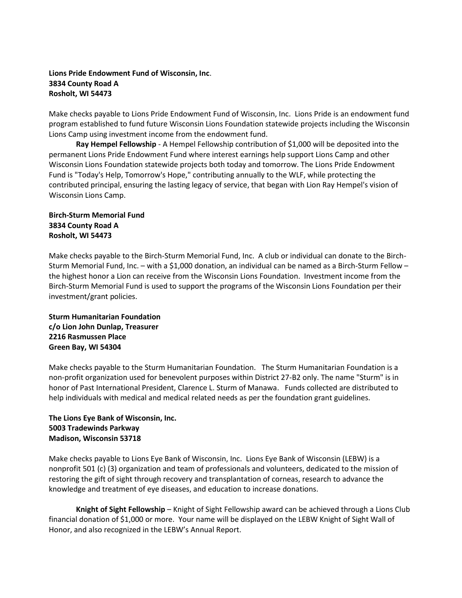# **Lions Pride Endowment Fund of Wisconsin, Inc**. **3834 County Road A Rosholt, WI 54473**

Make checks payable to Lions Pride Endowment Fund of Wisconsin, Inc. Lions Pride is an endowment fund program established to fund future Wisconsin Lions Foundation statewide projects including the Wisconsin Lions Camp using investment income from the endowment fund.

**Ray Hempel Fellowship** - A Hempel Fellowship contribution of \$1,000 will be deposited into the permanent Lions Pride Endowment Fund where interest earnings help support Lions Camp and other Wisconsin Lions Foundation statewide projects both today and tomorrow. The Lions Pride Endowment Fund is "Today's Help, Tomorrow's Hope," contributing annually to the WLF, while protecting the contributed principal, ensuring the lasting legacy of service, that began with Lion Ray Hempel's vision of Wisconsin Lions Camp.

**Birch-Sturm Memorial Fund 3834 County Road A Rosholt, WI 54473**

Make checks payable to the Birch-Sturm Memorial Fund, Inc. A club or individual can donate to the Birch-Sturm Memorial Fund, Inc. – with a \$1,000 donation, an individual can be named as a Birch-Sturm Fellow – the highest honor a Lion can receive from the Wisconsin Lions Foundation. Investment income from the Birch-Sturm Memorial Fund is used to support the programs of the Wisconsin Lions Foundation per their investment/grant policies.

**Sturm Humanitarian Foundation c/o Lion John Dunlap, Treasurer 2216 Rasmussen Place Green Bay, WI 54304**

Make checks payable to the Sturm Humanitarian Foundation. The Sturm Humanitarian Foundation is a non-profit organization used for benevolent purposes within District 27-B2 only. The name "Sturm" is in honor of Past International President, Clarence L. Sturm of Manawa. Funds collected are distributed to help individuals with medical and medical related needs as per the foundation grant guidelines.

# **The Lions Eye Bank of Wisconsin, Inc. 5003 Tradewinds Parkway Madison, Wisconsin 53718**

Make checks payable to Lions Eye Bank of Wisconsin, Inc. Lions Eye Bank of Wisconsin (LEBW) is a nonprofit 501 (c) (3) organization and team of professionals and volunteers, dedicated to the mission of restoring the gift of sight through recovery and transplantation of corneas, research to advance the knowledge and treatment of eye diseases, and education to increase donations.

**Knight of Sight Fellowship** – Knight of Sight Fellowship award can be achieved through a Lions Club financial donation of \$1,000 or more. Your name will be displayed on the LEBW Knight of Sight Wall of Honor, and also recognized in the LEBW's Annual Report.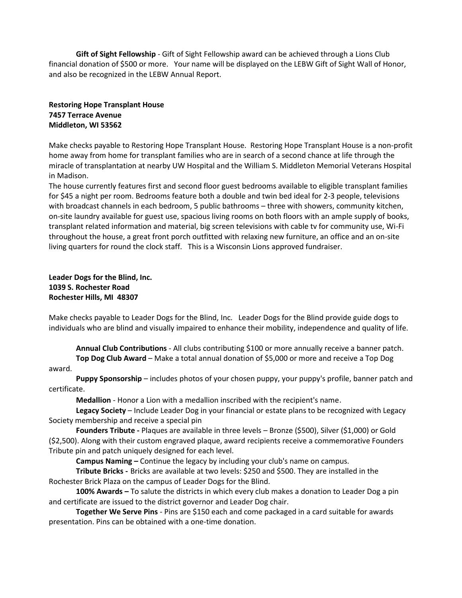**Gift of Sight Fellowship** - Gift of Sight Fellowship award can be achieved through a Lions Club financial donation of \$500 or more. Your name will be displayed on the LEBW Gift of Sight Wall of Honor, and also be recognized in the LEBW Annual Report.

# **Restoring Hope Transplant House 7457 Terrace Avenue Middleton, WI 53562**

Make checks payable to Restoring Hope Transplant House. Restoring Hope Transplant House is a non-profit home away from home for transplant families who are in search of a second chance at life through the miracle of transplantation at nearby UW Hospital and the William S. Middleton Memorial Veterans Hospital in Madison.

The house currently features first and second floor guest bedrooms available to eligible transplant families for \$45 a night per room. Bedrooms feature both a double and twin bed ideal for 2-3 people, televisions with broadcast channels in each bedroom, 5 public bathrooms – three with showers, community kitchen, on-site laundry available for guest use, spacious living rooms on both floors with an ample supply of books, transplant related information and material, big screen televisions with cable tv for community use, Wi-Fi throughout the house, a great front porch outfitted with relaxing new furniture, an office and an on-site living quarters for round the clock staff. This is a Wisconsin Lions approved fundraiser.

# **Leader Dogs for the Blind, Inc. 1039 S. Rochester Road Rochester Hills, MI 48307**

Make checks payable to Leader Dogs for the Blind, Inc. Leader Dogs for the Blind provide guide dogs to individuals who are blind and visually impaired to enhance their mobility, independence and quality of life.

**Annual Club Contributions** - All clubs contributing \$100 or more annually receive a banner patch. **Top Dog Club Award** – Make a total annual donation of \$5,000 or more and receive a Top Dog

### award.

**Puppy Sponsorship** – includes photos of your chosen puppy, your puppy's profile, banner patch and certificate.

**Medallion** - Honor a Lion with a medallion inscribed with the recipient's name.

**Legacy Society** – Include Leader Dog in your financial or estate plans to be recognized with Legacy Society membership and receive a special pin

**Founders Tribute -** Plaques are available in three levels – Bronze (\$500), Silver (\$1,000) or Gold (\$2,500). Along with their custom engraved plaque, award recipients receive a commemorative Founders Tribute pin and patch uniquely designed for each level.

**Campus Naming –** Continue the legacy by including your club's name on campus.

**Tribute Bricks -** Bricks are available at two levels: \$250 and \$500. They are installed in the Rochester Brick Plaza on the campus of Leader Dogs for the Blind.

**100% Awards –** To salute the districts in which every club makes a donation to Leader Dog a pin and certificate are issued to the district governor and Leader Dog chair.

**Together We Serve Pins** - Pins are \$150 each and come packaged in a card suitable for awards presentation. Pins can be obtained with a one-time donation.